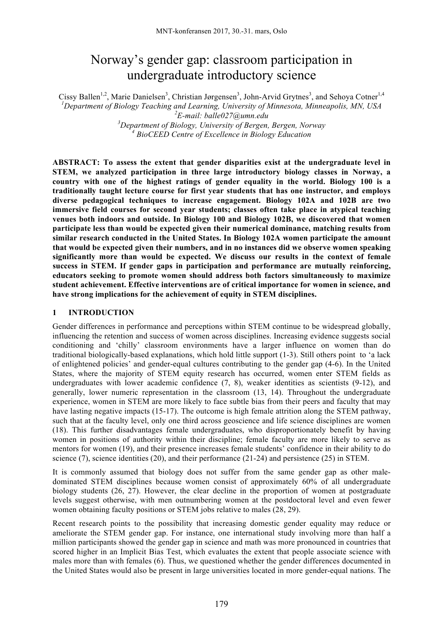# Norway's gender gap: classroom participation in undergraduate introductory science

Cissy Ballen<sup>1,2</sup>, Marie Danielsen<sup>3</sup>, Christian Jørgensen<sup>3</sup>, John-Arvid Grytnes<sup>3</sup>, and Sehoya Cotner<sup>1,4</sup> *Department of Biology Teaching and Learning, University of Minnesota, Minneapolis, MN, USA E-mail: balle027@umn.edu Department of Biology, University of Bergen, Bergen, Norway BioCEED Centre of Excellence in Biology Education*

**ABSTRACT: To assess the extent that gender disparities exist at the undergraduate level in STEM, we analyzed participation in three large introductory biology classes in Norway, a country with one of the highest ratings of gender equality in the world. Biology 100 is a traditionally taught lecture course for first year students that has one instructor, and employs diverse pedagogical techniques to increase engagement. Biology 102A and 102B are two immersive field courses for second year students; classes often take place in atypical teaching venues both indoors and outside. In Biology 100 and Biology 102B, we discovered that women participate less than would be expected given their numerical dominance, matching results from similar research conducted in the United States. In Biology 102A women participate the amount that would be expected given their numbers, and in no instances did we observe women speaking significantly more than would be expected. We discuss our results in the context of female success in STEM. If gender gaps in participation and performance are mutually reinforcing, educators seeking to promote women should address both factors simultaneously to maximize student achievement. Effective interventions are of critical importance for women in science, and have strong implications for the achievement of equity in STEM disciplines.**

#### **1 INTRODUCTION**

Gender differences in performance and perceptions within STEM continue to be widespread globally, influencing the retention and success of women across disciplines. Increasing evidence suggests social conditioning and 'chilly' classroom environments have a larger influence on women than do traditional biologically-based explanations, which hold little support (1-3). Still others point to 'a lack of enlightened policies' and gender-equal cultures contributing to the gender gap (4-6). In the United States, where the majority of STEM equity research has occurred, women enter STEM fields as undergraduates with lower academic confidence (7, 8), weaker identities as scientists (9-12), and generally, lower numeric representation in the classroom (13, 14). Throughout the undergraduate experience, women in STEM are more likely to face subtle bias from their peers and faculty that may have lasting negative impacts (15-17). The outcome is high female attrition along the STEM pathway, such that at the faculty level, only one third across geoscience and life science disciplines are women (18). This further disadvantages female undergraduates, who disproportionately benefit by having women in positions of authority within their discipline; female faculty are more likely to serve as mentors for women (19), and their presence increases female students' confidence in their ability to do science (7), science identities (20), and their performance (21-24) and persistence (25) in STEM.

It is commonly assumed that biology does not suffer from the same gender gap as other maledominated STEM disciplines because women consist of approximately 60% of all undergraduate biology students (26, 27). However, the clear decline in the proportion of women at postgraduate levels suggest otherwise, with men outnumbering women at the postdoctoral level and even fewer women obtaining faculty positions or STEM jobs relative to males (28, 29).

Recent research points to the possibility that increasing domestic gender equality may reduce or ameliorate the STEM gender gap. For instance, one international study involving more than half a million participants showed the gender gap in science and math was more pronounced in countries that scored higher in an Implicit Bias Test, which evaluates the extent that people associate science with males more than with females (6). Thus, we questioned whether the gender differences documented in the United States would also be present in large universities located in more gender-equal nations. The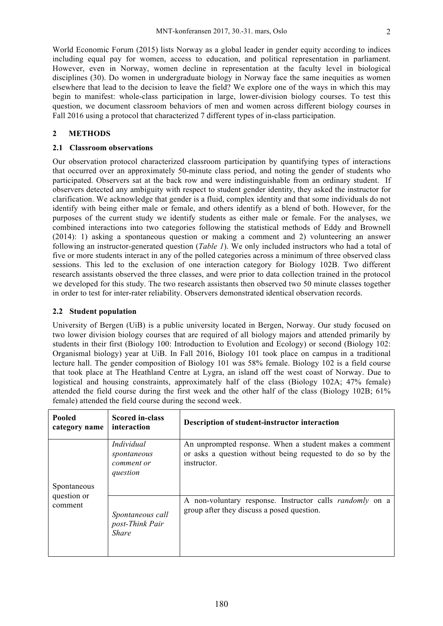World Economic Forum (2015) lists Norway as a global leader in gender equity according to indices including equal pay for women, access to education, and political representation in parliament. However, even in Norway, women decline in representation at the faculty level in biological disciplines (30). Do women in undergraduate biology in Norway face the same inequities as women elsewhere that lead to the decision to leave the field? We explore one of the ways in which this may begin to manifest: whole-class participation in large, lower-division biology courses. To test this question, we document classroom behaviors of men and women across different biology courses in Fall 2016 using a protocol that characterized 7 different types of in-class participation.

# **2 METHODS**

## **2.1 Classroom observations**

Our observation protocol characterized classroom participation by quantifying types of interactions that occurred over an approximately 50-minute class period, and noting the gender of students who participated. Observers sat at the back row and were indistinguishable from an ordinary student. If observers detected any ambiguity with respect to student gender identity, they asked the instructor for clarification. We acknowledge that gender is a fluid, complex identity and that some individuals do not identify with being either male or female, and others identify as a blend of both. However, for the purposes of the current study we identify students as either male or female. For the analyses, we combined interactions into two categories following the statistical methods of Eddy and Brownell (2014): 1) asking a spontaneous question or making a comment and 2) volunteering an answer following an instructor-generated question (*Table 1*). We only included instructors who had a total of five or more students interact in any of the polled categories across a minimum of three observed class sessions. This led to the exclusion of one interaction category for Biology 102B. Two different research assistants observed the three classes, and were prior to data collection trained in the protocol we developed for this study. The two research assistants then observed two 50 minute classes together in order to test for inter-rater reliability. Observers demonstrated identical observation records.

# **2.2 Student population**

University of Bergen (UiB) is a public university located in Bergen, Norway. Our study focused on two lower division biology courses that are required of all biology majors and attended primarily by students in their first (Biology 100: Introduction to Evolution and Ecology) or second (Biology 102: Organismal biology) year at UiB. In Fall 2016, Biology 101 took place on campus in a traditional lecture hall. The gender composition of Biology 101 was 58% female. Biology 102 is a field course that took place at The Heathland Centre at Lygra, an island off the west coast of Norway. Due to logistical and housing constraints, approximately half of the class (Biology 102A; 47% female) attended the field course during the first week and the other half of the class (Biology 102B; 61% female) attended the field course during the second week.

| Pooled<br>category name               | <b>Scored in-class</b><br>interaction               | Description of student-instructor interaction                                                                                       |
|---------------------------------------|-----------------------------------------------------|-------------------------------------------------------------------------------------------------------------------------------------|
| Spontaneous<br>question or<br>comment | Individual<br>spontaneous<br>comment or<br>question | An unprompted response. When a student makes a comment<br>or asks a question without being requested to do so by the<br>instructor. |
|                                       | Spontaneous call<br>post-Think Pair<br><b>Share</b> | A non-voluntary response. Instructor calls <i>randomly</i> on a<br>group after they discuss a posed question.                       |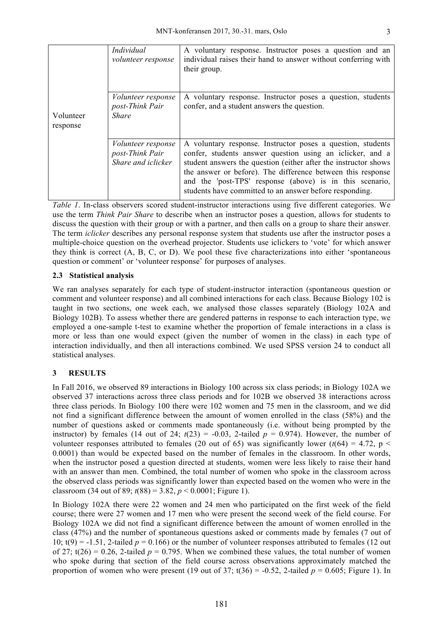| Volunteer<br>response | Individual<br><i>volunteer response</i>                            | A voluntary response. Instructor poses a question and an<br>individual raises their hand to answer without conferring with<br>their group.                                                                                                                                                                                                                                        |
|-----------------------|--------------------------------------------------------------------|-----------------------------------------------------------------------------------------------------------------------------------------------------------------------------------------------------------------------------------------------------------------------------------------------------------------------------------------------------------------------------------|
|                       | Volunteer response<br>post-Think Pair<br><i>Share</i>              | A voluntary response. Instructor poses a question, students<br>confer, and a student answers the question.                                                                                                                                                                                                                                                                        |
|                       | <i>Volunteer response</i><br>post-Think Pair<br>Share and iclicker | A voluntary response. Instructor poses a question, students<br>confer, students answer question using an iclicker, and a<br>student answers the question (either after the instructor shows<br>the answer or before). The difference between this response<br>and the 'post-TPS' response (above) is in this scenario,<br>students have committed to an answer before responding. |

*Table 1*. In-class observers scored student-instructor interactions using five different categories. We use the term *Think Pair Share* to describe when an instructor poses a question, allows for students to discuss the question with their group or with a partner, and then calls on a group to share their answer. The term *iclicker* describes any personal response system that students use after the instructor poses a multiple-choice question on the overhead projector. Students use iclickers to 'vote' for which answer they think is correct (A, B, C, or D). We pool these five characterizations into either 'spontaneous question or comment' or 'volunteer response' for purposes of analyses.

#### **2.3 Statistical analysis**

We ran analyses separately for each type of student-instructor interaction (spontaneous question or comment and volunteer response) and all combined interactions for each class. Because Biology 102 is taught in two sections, one week each, we analysed those classes separately (Biology 102A and Biology 102B). To assess whether there are gendered patterns in response to each interaction type, we employed a one-sample t-test to examine whether the proportion of female interactions in a class is more or less than one would expect (given the number of women in the class) in each type of interaction individually, and then all interactions combined. We used SPSS version 24 to conduct all statistical analyses.

## **3 RESULTS**

In Fall 2016, we observed 89 interactions in Biology 100 across six class periods; in Biology 102A we observed 37 interactions across three class periods and for 102B we observed 38 interactions across three class periods. In Biology 100 there were 102 women and 75 men in the classroom, and we did not find a significant difference between the amount of women enrolled in the class (58%) and the number of questions asked or comments made spontaneously (i.e. without being prompted by the instructor) by females (14 out of 24;  $t(23) = -0.03$ , 2-tailed  $p = 0.974$ ). However, the number of volunteer responses attributed to females (20 out of 65) was significantly lower ( $t(64) = 4.72$ , p < 0.0001) than would be expected based on the number of females in the classroom. In other words, when the instructor posed a question directed at students, women were less likely to raise their hand with an answer than men. Combined, the total number of women who spoke in the classroom across the observed class periods was significantly lower than expected based on the women who were in the classroom (34 out of 89;  $t(88) = 3.82$ ,  $p < 0.0001$ ; Figure 1).

In Biology 102A there were 22 women and 24 men who participated on the first week of the field course; there were 27 women and 17 men who were present the second week of the field course. For Biology 102A we did not find a significant difference between the amount of women enrolled in the class (47%) and the number of spontaneous questions asked or comments made by females (7 out of 10;  $t(9) = -1.51$ , 2-tailed  $p = 0.166$ ) or the number of volunteer responses attributed to females (12 out of 27;  $t(26) = 0.26$ , 2-tailed  $p = 0.795$ . When we combined these values, the total number of women who spoke during that section of the field course across observations approximately matched the proportion of women who were present (19 out of 37;  $t(36) = -0.52$ , 2-tailed  $p = 0.605$ ; Figure 1). In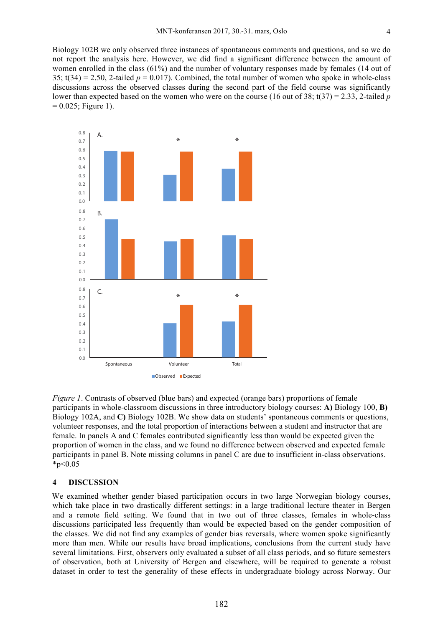Biology 102B we only observed three instances of spontaneous comments and questions, and so we do not report the analysis here. However, we did find a significant difference between the amount of women enrolled in the class (61%) and the number of voluntary responses made by females (14 out of 35;  $t(34) = 2.50$ , 2-tailed  $p = 0.017$ ). Combined, the total number of women who spoke in whole-class discussions across the observed classes during the second part of the field course was significantly lower than expected based on the women who were on the course (16 out of 38; t(37) = 2.33, 2-tailed *p*   $= 0.025$ ; Figure 1).



*Figure 1*. Contrasts of observed (blue bars) and expected (orange bars) proportions of female participants in whole-classroom discussions in three introductory biology courses: **A)** Biology 100, **B)**  Biology 102A, and **C)** Biology 102B. We show data on students' spontaneous comments or questions, volunteer responses, and the total proportion of interactions between a student and instructor that are female. In panels A and C females contributed significantly less than would be expected given the proportion of women in the class, and we found no difference between observed and expected female participants in panel B. Note missing columns in panel C are due to insufficient in-class observations.  $*p<0.05$ 

#### **4 DISCUSSION**

We examined whether gender biased participation occurs in two large Norwegian biology courses, which take place in two drastically different settings: in a large traditional lecture theater in Bergen and a remote field setting. We found that in two out of three classes, females in whole-class discussions participated less frequently than would be expected based on the gender composition of the classes. We did not find any examples of gender bias reversals, where women spoke significantly more than men. While our results have broad implications, conclusions from the current study have several limitations. First, observers only evaluated a subset of all class periods, and so future semesters of observation, both at University of Bergen and elsewhere, will be required to generate a robust dataset in order to test the generality of these effects in undergraduate biology across Norway. Our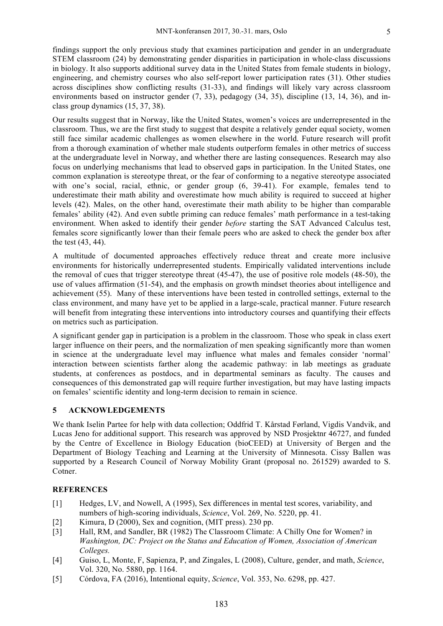findings support the only previous study that examines participation and gender in an undergraduate STEM classroom (24) by demonstrating gender disparities in participation in whole-class discussions in biology. It also supports additional survey data in the United States from female students in biology, engineering, and chemistry courses who also self-report lower participation rates (31). Other studies across disciplines show conflicting results (31-33), and findings will likely vary across classroom environments based on instructor gender (7, 33), pedagogy (34, 35), discipline (13, 14, 36), and inclass group dynamics (15, 37, 38).

Our results suggest that in Norway, like the United States, women's voices are underrepresented in the classroom. Thus, we are the first study to suggest that despite a relatively gender equal society, women still face similar academic challenges as women elsewhere in the world. Future research will profit from a thorough examination of whether male students outperform females in other metrics of success at the undergraduate level in Norway, and whether there are lasting consequences. Research may also focus on underlying mechanisms that lead to observed gaps in participation. In the United States, one common explanation is stereotype threat, or the fear of conforming to a negative stereotype associated with one's social, racial, ethnic, or gender group (6, 39-41). For example, females tend to underestimate their math ability and overestimate how much ability is required to succeed at higher levels (42). Males, on the other hand, overestimate their math ability to be higher than comparable females' ability (42). And even subtle priming can reduce females' math performance in a test-taking environment. When asked to identify their gender *before* starting the SAT Advanced Calculus test, females score significantly lower than their female peers who are asked to check the gender box after the test (43, 44).

A multitude of documented approaches effectively reduce threat and create more inclusive environments for historically underrepresented students. Empirically validated interventions include the removal of cues that trigger stereotype threat (45-47), the use of positive role models (48-50), the use of values affirmation (51-54), and the emphasis on growth mindset theories about intelligence and achievement (55). Many of these interventions have been tested in controlled settings, external to the class environment, and many have yet to be applied in a large-scale, practical manner. Future research will benefit from integrating these interventions into introductory courses and quantifying their effects on metrics such as participation.

A significant gender gap in participation is a problem in the classroom. Those who speak in class exert larger influence on their peers, and the normalization of men speaking significantly more than women in science at the undergraduate level may influence what males and females consider 'normal' interaction between scientists farther along the academic pathway: in lab meetings as graduate students, at conferences as postdocs, and in departmental seminars as faculty. The causes and consequences of this demonstrated gap will require further investigation, but may have lasting impacts on females' scientific identity and long-term decision to remain in science.

## **5 ACKNOWLEDGEMENTS**

We thank Iselin Partee for help with data collection; Oddfrid T. Kårstad Førland, Vigdis Vandvik, and Lucas Jeno for additional support. This research was approved by NSD Prosjektnr 46727, and funded by the Centre of Excellence in Biology Education (bioCEED) at University of Bergen and the Department of Biology Teaching and Learning at the University of Minnesota. Cissy Ballen was supported by a Research Council of Norway Mobility Grant (proposal no. 261529) awarded to S. Cotner.

## **REFERENCES**

- [1] Hedges, LV, and Nowell, A (1995), Sex differences in mental test scores, variability, and numbers of high-scoring individuals, *Science*, Vol. 269, No. 5220, pp. 41.
- [2] Kimura, D (2000), Sex and cognition, (MIT press). 230 pp.
- [3] Hall, RM, and Sandler, BR (1982) The Classroom Climate: A Chilly One for Women? in *Washington, DC: Project on the Status and Education of Women, Association of American Colleges.*
- [4] Guiso, L, Monte, F, Sapienza, P, and Zingales, L (2008), Culture, gender, and math, *Science*, Vol. 320, No. 5880, pp. 1164.
- [5] Córdova, FA (2016), Intentional equity, *Science*, Vol. 353, No. 6298, pp. 427.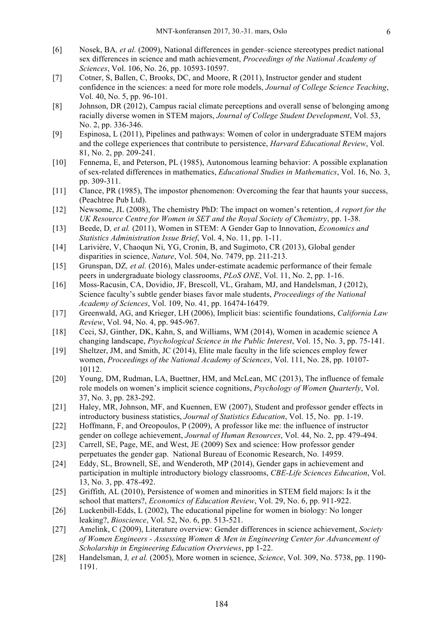- [6] Nosek, BA*, et al.* (2009), National differences in gender–science stereotypes predict national sex differences in science and math achievement, *Proceedings of the National Academy of Sciences*, Vol. 106, No. 26, pp. 10593-10597.
- [7] Cotner, S, Ballen, C, Brooks, DC, and Moore, R (2011), Instructor gender and student confidence in the sciences: a need for more role models, *Journal of College Science Teaching*, Vol. 40, No. 5, pp. 96-101.
- [8] Johnson, DR (2012), Campus racial climate perceptions and overall sense of belonging among racially diverse women in STEM majors, *Journal of College Student Development*, Vol. 53, No. 2, pp. 336-346.
- [9] Espinosa, L (2011), Pipelines and pathways: Women of color in undergraduate STEM majors and the college experiences that contribute to persistence, *Harvard Educational Review*, Vol. 81, No. 2, pp. 209-241.
- [10] Fennema, E, and Peterson, PL (1985), Autonomous learning behavior: A possible explanation of sex-related differences in mathematics, *Educational Studies in Mathematics*, Vol. 16, No. 3, pp. 309-311.
- [11] Clance, PR (1985), The impostor phenomenon: Overcoming the fear that haunts your success, (Peachtree Pub Ltd).
- [12] Newsome, JL (2008), The chemistry PhD: The impact on women's retention, *A report for the UK Resource Centre for Women in SET and the Royal Society of Chemistry*, pp. 1-38.
- [13] Beede, D*, et al.* (2011), Women in STEM: A Gender Gap to Innovation, *Economics and Statistics Administration Issue Brief*, Vol. 4, No. 11, pp. 1-11.
- [14] Larivière, V, Chaoqun Ni, YG, Cronin, B, and Sugimoto, CR (2013), Global gender disparities in science, *Nature*, Vol. 504, No. 7479, pp. 211-213.
- [15] Grunspan, DZ*, et al.* (2016), Males under-estimate academic performance of their female peers in undergraduate biology classrooms, *PLoS ONE*, Vol. 11, No. 2, pp. 1-16.
- [16] Moss-Racusin, CA, Dovidio, JF, Brescoll, VL, Graham, MJ, and Handelsman, J (2012), Science faculty's subtle gender biases favor male students, *Proceedings of the National Academy of Sciences*, Vol. 109, No. 41, pp. 16474-16479.
- [17] Greenwald, AG, and Krieger, LH (2006), Implicit bias: scientific foundations, *California Law Review*, Vol. 94, No. 4, pp. 945-967.
- [18] Ceci, SJ, Ginther, DK, Kahn, S, and Williams, WM (2014), Women in academic science A changing landscape, *Psychological Science in the Public Interest*, Vol. 15, No. 3, pp. 75-141.
- [19] Sheltzer, JM, and Smith, JC (2014), Elite male faculty in the life sciences employ fewer women, *Proceedings of the National Academy of Sciences*, Vol. 111, No. 28, pp. 10107- 10112.
- [20] Young, DM, Rudman, LA, Buettner, HM, and McLean, MC (2013), The influence of female role models on women's implicit science cognitions, *Psychology of Women Quarterly*, Vol. 37, No. 3, pp. 283-292.
- [21] Haley, MR, Johnson, MF, and Kuennen, EW (2007), Student and professor gender effects in introductory business statistics, *Journal of Statistics Education*, Vol. 15, No. pp. 1-19.
- [22] Hoffmann, F, and Oreopoulos, P (2009), A professor like me: the influence of instructor gender on college achievement, *Journal of Human Resources*, Vol. 44, No. 2, pp. 479-494.
- [23] Carrell, SE, Page, ME, and West, JE (2009) Sex and science: How professor gender perpetuates the gender gap. National Bureau of Economic Research, No. 14959.
- [24] Eddy, SL, Brownell, SE, and Wenderoth, MP (2014), Gender gaps in achievement and participation in multiple introductory biology classrooms, *CBE-Life Sciences Education*, Vol. 13, No. 3, pp. 478-492.
- [25] Griffith, AL (2010), Persistence of women and minorities in STEM field majors: Is it the school that matters?, *Economics of Education Review*, Vol. 29, No. 6, pp. 911-922.
- [26] Luckenbill-Edds, L (2002), The educational pipeline for women in biology: No longer leaking?, *Bioscience*, Vol. 52, No. 6, pp. 513-521.
- [27] Amelink, C (2009), Literature overview: Gender differences in science achievement, *Society of Women Engineers - Assessing Women & Men in Engineering Center for Advancement of Scholarship in Engineering Education Overviews*, pp 1-22.
- [28] Handelsman, J*, et al.* (2005), More women in science, *Science*, Vol. 309, No. 5738, pp. 1190- 1191.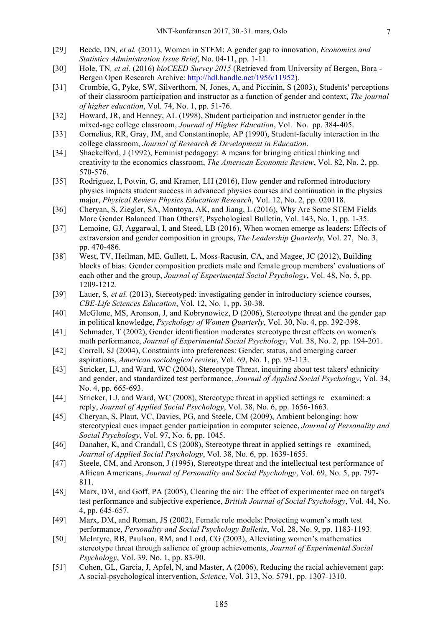- [29] Beede, DN*, et al.* (2011), Women in STEM: A gender gap to innovation, *Economics and Statistics Administration Issue Brief*, No. 04-11, pp. 1-11.
- [30] Hole, TN*, et al.* (2016) *bioCEED Survey 2015* (Retrieved from University of Bergen, Bora Bergen Open Research Archive: http://hdl.handle.net/1956/11952).
- [31] Crombie, G, Pyke, SW, Silverthorn, N, Jones, A, and Piccinin, S (2003), Students' perceptions of their classroom participation and instructor as a function of gender and context, *The journal of higher education*, Vol. 74, No. 1, pp. 51-76.
- [32] Howard, JR, and Henney, AL (1998), Student participation and instructor gender in the mixed-age college classroom, *Journal of Higher Education*, Vol. No. pp. 384-405.
- [33] Cornelius, RR, Gray, JM, and Constantinople, AP (1990), Student-faculty interaction in the college classroom, *Journal of Research & Development in Education*.
- [34] Shackelford, J (1992), Feminist pedagogy: A means for bringing critical thinking and creativity to the economics classroom, *The American Economic Review*, Vol. 82, No. 2, pp. 570-576.
- [35] Rodriguez, I, Potvin, G, and Kramer, LH (2016), How gender and reformed introductory physics impacts student success in advanced physics courses and continuation in the physics major, *Physical Review Physics Education Research*, Vol. 12, No. 2, pp. 020118.
- [36] Cheryan, S, Ziegler, SA, Montoya, AK, and Jiang, L (2016), Why Are Some STEM Fields More Gender Balanced Than Others?, Psychological Bulletin, Vol. 143, No. 1, pp. 1-35.
- [37] Lemoine, GJ, Aggarwal, I, and Steed, LB (2016), When women emerge as leaders: Effects of extraversion and gender composition in groups, *The Leadership Quarterly*, Vol. 27, No. 3, pp. 470-486.
- [38] West, TV, Heilman, ME, Gullett, L, Moss-Racusin, CA, and Magee, JC (2012), Building blocks of bias: Gender composition predicts male and female group members' evaluations of each other and the group, *Journal of Experimental Social Psychology*, Vol. 48, No. 5, pp. 1209-1212.
- [39] Lauer, S*, et al.* (2013), Stereotyped: investigating gender in introductory science courses, *CBE-Life Sciences Education*, Vol. 12, No. 1, pp. 30-38.
- [40] McGlone, MS, Aronson, J, and Kobrynowicz, D (2006), Stereotype threat and the gender gap in political knowledge, *Psychology of Women Quarterly*, Vol. 30, No. 4, pp. 392-398.
- [41] Schmader, T (2002), Gender identification moderates stereotype threat effects on women's math performance, *Journal of Experimental Social Psychology*, Vol. 38, No. 2, pp. 194-201.
- [42] Correll, SJ (2004), Constraints into preferences: Gender, status, and emerging career aspirations, *American sociological review*, Vol. 69, No. 1, pp. 93-113.
- [43] Stricker, LJ, and Ward, WC (2004), Stereotype Threat, inquiring about test takers' ethnicity and gender, and standardized test performance, *Journal of Applied Social Psychology*, Vol. 34, No. 4, pp. 665-693.
- [44] Stricker, LJ, and Ward, WC (2008), Stereotype threat in applied settings reexamined: a reply, *Journal of Applied Social Psychology*, Vol. 38, No. 6, pp. 1656-1663.
- [45] Cheryan, S, Plaut, VC, Davies, PG, and Steele, CM (2009), Ambient belonging: how stereotypical cues impact gender participation in computer science, *Journal of Personality and Social Psychology*, Vol. 97, No. 6, pp. 1045.
- [46] Danaher, K, and Crandall, CS (2008), Stereotype threat in applied settings reexamined, *Journal of Applied Social Psychology*, Vol. 38, No. 6, pp. 1639-1655.
- [47] Steele, CM, and Aronson, J (1995), Stereotype threat and the intellectual test performance of African Americans, *Journal of Personality and Social Psychology*, Vol. 69, No. 5, pp. 797- 811.
- [48] Marx, DM, and Goff, PA (2005), Clearing the air: The effect of experimenter race on target's test performance and subjective experience, *British Journal of Social Psychology*, Vol. 44, No. 4, pp. 645-657.
- [49] Marx, DM, and Roman, JS (2002), Female role models: Protecting women's math test performance, *Personality and Social Psychology Bulletin*, Vol. 28, No. 9, pp. 1183-1193.
- [50] McIntyre, RB, Paulson, RM, and Lord, CG (2003), Alleviating women's mathematics stereotype threat through salience of group achievements, *Journal of Experimental Social Psychology*, Vol. 39, No. 1, pp. 83-90.
- [51] Cohen, GL, Garcia, J, Apfel, N, and Master, A (2006), Reducing the racial achievement gap: A social-psychological intervention, *Science*, Vol. 313, No. 5791, pp. 1307-1310.